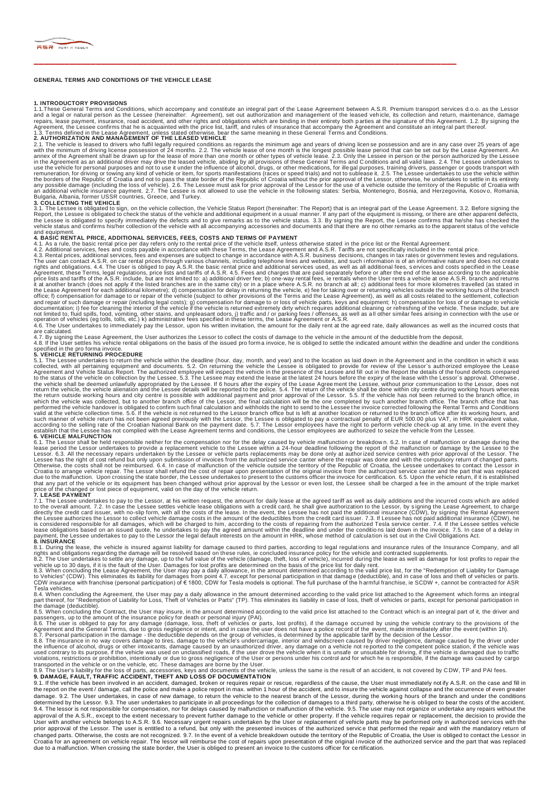# **GENERAL TERMS AND CONDITIONS OF THE VEHICLE LEASE**

### **1. INTRODUCTORY PROVISIONS**

1.1. These General Terms and Conditions, which accompany and constitute an integral part of the Lease Agreement between A.S.R. Premium transport services d.o.o. as the Lessor<br>and a legal or natural person as the Lessee (he

2.1. The vehicle is leased to drivers who fulfil legally required conditions as regards the minimum age and years of driving license possession and are in any case over 25 years of age<br>with the minimum of driving license p an additional vehicle insurance payment. 2.7. The Lessee is not allowed to use the vehicle in the following states: Serbia, Montenegro, Bosnia, and Herzegovina, Kosovo, Romania,<br>Bulgaria, Albania, former USSR countries, Gr

# **3. COLLECTING THE VEHICLE**

3.1. The Lessee is obligated to sign, on the vehicle collection, the Vehicle Status Report (hereinafter: The Report) that is an integral part of the Lease Agreement. 3.2. Before signing the<br>Report, the Lessee is obligated

and equipment.<br>4. BASIC RENTAL PRICE, ADDITIONAL SERVICES, FEES, COSTS AND TERMS OF PAYMENT<br>4.1. As a rule, the basic rental price per day refers only to the rental price of the vehicle itself, unless otherwise stated in t

**\_\_\_\_\_\_\_\_\_\_\_\_\_\_\_\_\_\_\_\_\_\_\_\_\_\_\_\_\_\_\_\_\_\_\_\_\_\_\_\_\_\_\_\_\_\_\_\_\_\_\_\_\_\_\_\_\_\_\_\_\_\_\_\_\_\_\_\_\_\_\_\_\_\_\_\_\_\_\_\_\_\_**

4.2. Additional services, fees and costs payable in accordance with these Terms, the Lease Agreement and A.S.R. Tariffs are not specifically included in the rental price. A and the rental price, the same of specifically in

4.7. By signing the Lease Agreement, the User authorizes the Lessor to collect the costs of damage to the vehicle in the amount of the deductible from the deposit.<br>4.8. If the User settles his vehicle rental obligations on

# specified in the pro forma invoice. **5. VEHICLE RETURNING PROCEDURE**

5.1. The Lessee undertakes to return the vehicle within the deadline (hour, day, month, and year) and to the location as laid down in the Agreement and in the condition in which it was collected, with all pertaining equipm valid at the vehicle collection time. 5.6. If the vehicle is not returned to the Lessor branch office but is left at another location or returned to the branch office after its working hours, and<br>such manner of vehicle ret

**6. VEHICLE MALFUNCTION**<br>
6.1. The Lessor shall be held responsible neither for the compensation nor for the delay caused by vehicle malfunction or breakdown. 6.2. In case of malfunction or damage during the<br>
fease period

# 7.1. The Lessee undertakes to pay to the Lessor, at his written request, the amount for daily lease at the agreed tariff as well as daily additions and the incurred costs which are added to the overall amount. 7.2. In case

8.1. During the lease, the vehicle is insured against liability for damage caused to third parties, according to legal regulations and insurance rules of the Insurance Company, and all<br>rights and obligations regarding the

Tesla vehicles.<br>Test which concluding the Agreement, the User may pay a daily allowance in the amount determined according to the valid price list attached to the Agreement which forms an integral<br>part thereof, for "Redemp violations, restrictions or prohibition, intentionally or due to gross negligence of the User or persons under his control and for which he is responsible, if the damage was caused by cargo<br>transported in the vehicle or on

9.1. If the vehicle has been involved in an accident, damaged, broken or requires repair or rescue, regardless of the cause, the User must immediately notify A.S.R. on the case and fill in<br>the report on the event / damage, User with another vehicle belongs to A.S.R. 9.6. Necessary urgent repairs undertaken by the User or replacement of vehicle parts may be performed only in authorized services with the<br>prior approval of the Lessor. The user changed parts. Otherwise, the costs are not recognized. 9.7. In the event of a vehicle breakdown outside the territory of the Republic of Croatia, the User is obliged to contact the Lessor in<br>Croatia for an agreement on ve due to a malfunction. When crossing the state border, the User is obliged to present an invoice to the customs officer for ce rtification.